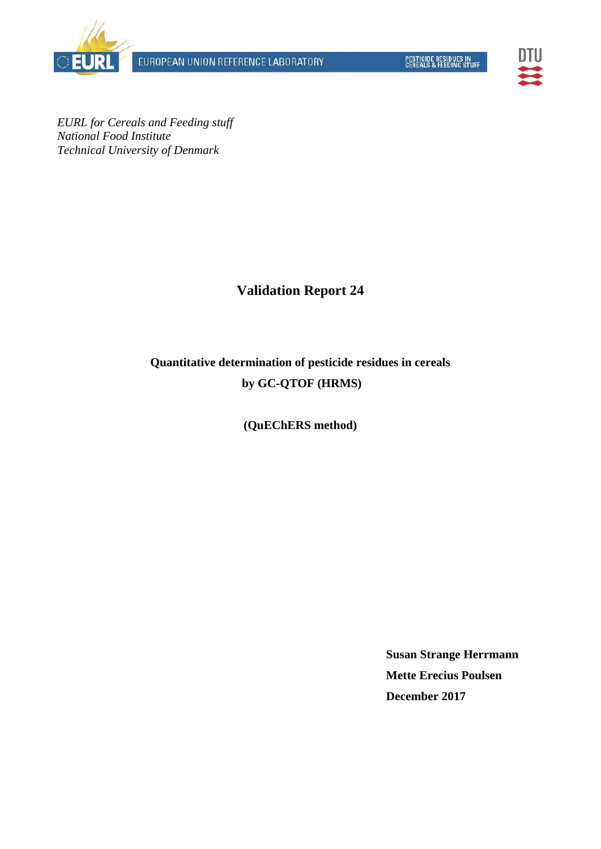EUROPEAN UNION REFERENCE LABORATORY





*EURL for Cereals and Feeding stuff National Food Institute Technical University of Denmark* 

## **Validation Report 24**

# **Quantitative determination of pesticide residues in cereals by GC-QTOF (HRMS)**

## **(QuEChERS method)**

**Susan Strange Herrmann Mette Erecius Poulsen December 2017**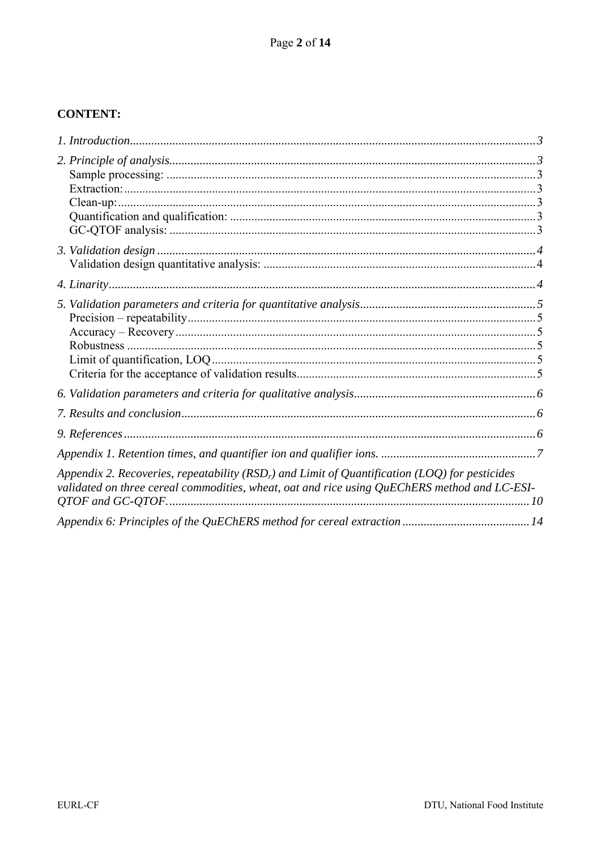## **CONTENT:**

| Appendix 2. Recoveries, repeatability ( $RSDr$ ) and Limit of Quantification (LOQ) for pesticides<br>validated on three cereal commodities, wheat, oat and rice using QuEChERS method and LC-ESI- |  |
|---------------------------------------------------------------------------------------------------------------------------------------------------------------------------------------------------|--|
|                                                                                                                                                                                                   |  |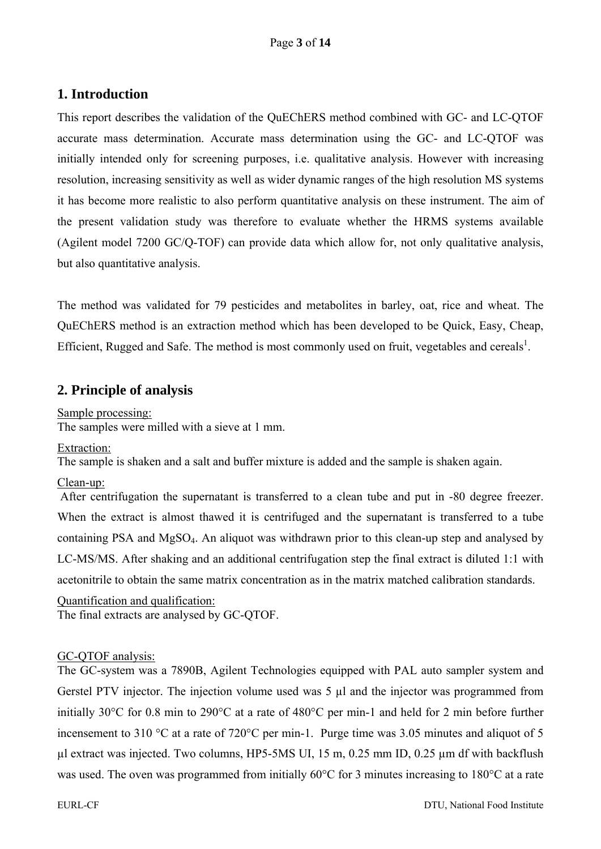## **1. Introduction**

This report describes the validation of the QuEChERS method combined with GC- and LC-QTOF accurate mass determination. Accurate mass determination using the GC- and LC-QTOF was initially intended only for screening purposes, i.e. qualitative analysis. However with increasing resolution, increasing sensitivity as well as wider dynamic ranges of the high resolution MS systems it has become more realistic to also perform quantitative analysis on these instrument. The aim of the present validation study was therefore to evaluate whether the HRMS systems available (Agilent model 7200 GC/Q-TOF) can provide data which allow for, not only qualitative analysis, but also quantitative analysis.

The method was validated for 79 pesticides and metabolites in barley, oat, rice and wheat. The QuEChERS method is an extraction method which has been developed to be Quick, Easy, Cheap, Efficient, Rugged and Safe. The method is most commonly used on fruit, vegetables and cereals<sup>1</sup>.

## **2. Principle of analysis**

Sample processing: The samples were milled with a sieve at 1 mm.

Extraction:

The sample is shaken and a salt and buffer mixture is added and the sample is shaken again.

#### Clean-up:

After centrifugation the supernatant is transferred to a clean tube and put in -80 degree freezer. When the extract is almost thawed it is centrifuged and the supernatant is transferred to a tube containing PSA and MgSO4. An aliquot was withdrawn prior to this clean-up step and analysed by LC-MS/MS. After shaking and an additional centrifugation step the final extract is diluted 1:1 with acetonitrile to obtain the same matrix concentration as in the matrix matched calibration standards.

Quantification and qualification: The final extracts are analysed by GC-QTOF.

#### GC-QTOF analysis:

The GC-system was a 7890B, Agilent Technologies equipped with PAL auto sampler system and Gerstel PTV injector. The injection volume used was 5 µl and the injector was programmed from initially 30°C for 0.8 min to 290°C at a rate of 480°C per min-1 and held for 2 min before further incensement to 310 °C at a rate of 720°C per min-1. Purge time was 3.05 minutes and aliquot of 5  $\mu$ l extract was injected. Two columns, HP5-5MS UI, 15 m, 0.25 mm ID, 0.25  $\mu$ m df with backflush was used. The oven was programmed from initially 60°C for 3 minutes increasing to 180°C at a rate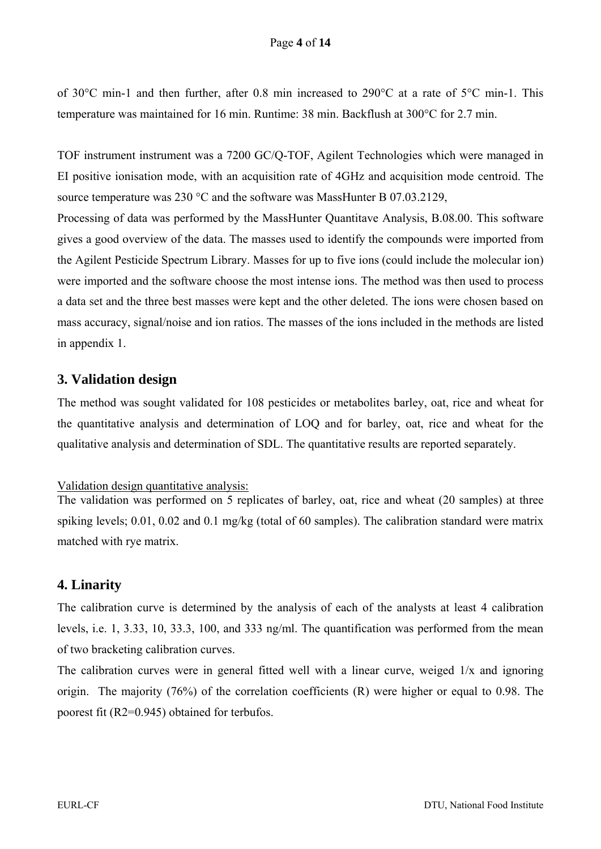of 30°C min-1 and then further, after 0.8 min increased to 290°C at a rate of 5°C min-1. This temperature was maintained for 16 min. Runtime: 38 min. Backflush at 300°C for 2.7 min.

TOF instrument instrument was a 7200 GC/Q-TOF, Agilent Technologies which were managed in EI positive ionisation mode, with an acquisition rate of 4GHz and acquisition mode centroid. The source temperature was 230 °C and the software was MassHunter B 07.03.2129, Processing of data was performed by the MassHunter Quantitave Analysis, B.08.00. This software

gives a good overview of the data. The masses used to identify the compounds were imported from the Agilent Pesticide Spectrum Library. Masses for up to five ions (could include the molecular ion) were imported and the software choose the most intense ions. The method was then used to process a data set and the three best masses were kept and the other deleted. The ions were chosen based on mass accuracy, signal/noise and ion ratios. The masses of the ions included in the methods are listed in appendix 1.

## **3. Validation design**

The method was sought validated for 108 pesticides or metabolites barley, oat, rice and wheat for the quantitative analysis and determination of LOQ and for barley, oat, rice and wheat for the qualitative analysis and determination of SDL. The quantitative results are reported separately.

#### Validation design quantitative analysis:

The validation was performed on 5 replicates of barley, oat, rice and wheat (20 samples) at three spiking levels; 0.01, 0.02 and 0.1 mg/kg (total of 60 samples). The calibration standard were matrix matched with rye matrix.

## **4. Linarity**

The calibration curve is determined by the analysis of each of the analysts at least 4 calibration levels, i.e. 1, 3.33, 10, 33.3, 100, and 333 ng/ml. The quantification was performed from the mean of two bracketing calibration curves.

The calibration curves were in general fitted well with a linear curve, weiged  $1/x$  and ignoring origin. The majority (76%) of the correlation coefficients (R) were higher or equal to 0.98. The poorest fit (R2=0.945) obtained for terbufos.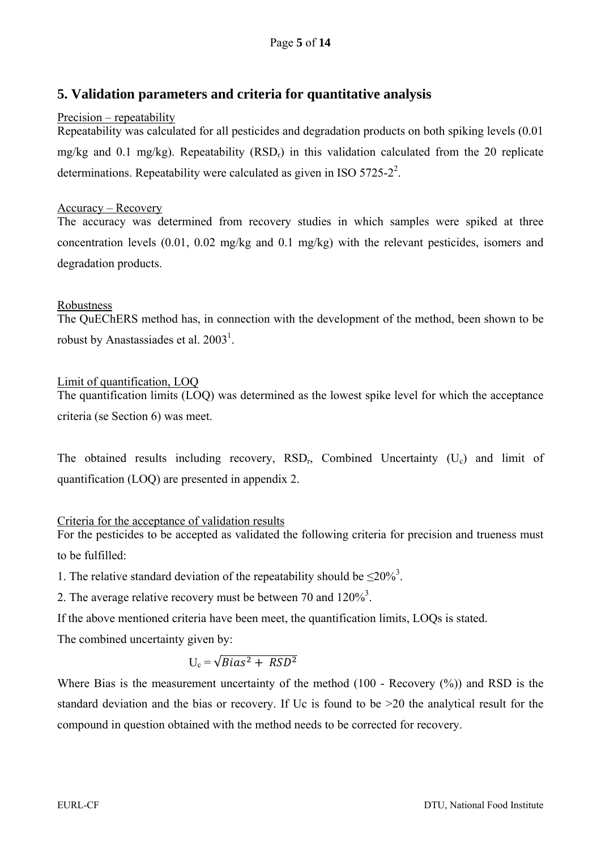## **5. Validation parameters and criteria for quantitative analysis**

#### Precision – repeatability

Repeatability was calculated for all pesticides and degradation products on both spiking levels (0.01 mg/kg and 0.1 mg/kg). Repeatability (RSD<sub>r</sub>) in this validation calculated from the 20 replicate determinations. Repeatability were calculated as given in ISO  $5725-2^2$ .

#### Accuracy – Recovery

The accuracy was determined from recovery studies in which samples were spiked at three concentration levels (0.01, 0.02 mg/kg and 0.1 mg/kg) with the relevant pesticides, isomers and degradation products.

#### Robustness

The QuEChERS method has, in connection with the development of the method, been shown to be robust by Anastassiades et al.  $2003<sup>1</sup>$ .

#### Limit of quantification, LOQ

The quantification limits (LOQ) was determined as the lowest spike level for which the acceptance criteria (se Section 6) was meet.

The obtained results including recovery,  $RSD_r$ , Combined Uncertainty (U<sub>c</sub>) and limit of quantification (LOQ) are presented in appendix 2.

#### Criteria for the acceptance of validation results

For the pesticides to be accepted as validated the following criteria for precision and trueness must to be fulfilled:

1. The relative standard deviation of the repeatability should be  $\leq 20\%$ <sup>3</sup>.

2. The average relative recovery must be between 70 and  $120\%$ <sup>3</sup>.

If the above mentioned criteria have been meet, the quantification limits, LOQs is stated.

The combined uncertainty given by:

$$
U_c = \sqrt{Bias^2 + RSD^2}
$$

Where Bias is the measurement uncertainty of the method (100 - Recovery  $(\%)$ ) and RSD is the standard deviation and the bias or recovery. If Uc is found to be >20 the analytical result for the compound in question obtained with the method needs to be corrected for recovery.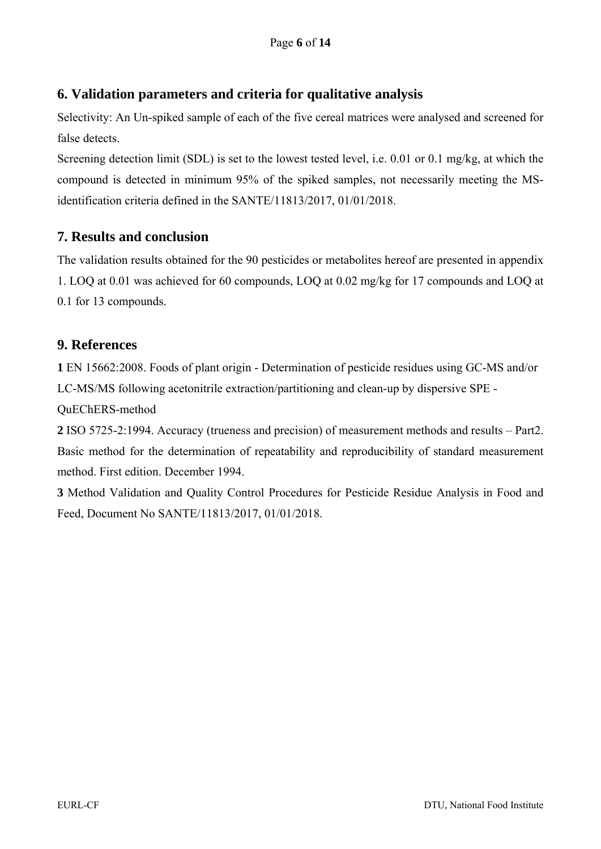## **6. Validation parameters and criteria for qualitative analysis**

Selectivity: An Un-spiked sample of each of the five cereal matrices were analysed and screened for false detects.

Screening detection limit (SDL) is set to the lowest tested level, i.e. 0.01 or 0.1 mg/kg, at which the compound is detected in minimum 95% of the spiked samples, not necessarily meeting the MSidentification criteria defined in the SANTE/11813/2017, 01/01/2018.

## **7. Results and conclusion**

The validation results obtained for the 90 pesticides or metabolites hereof are presented in appendix 1. LOQ at 0.01 was achieved for 60 compounds, LOQ at 0.02 mg/kg for 17 compounds and LOQ at 0.1 for 13 compounds.

## **9. References**

**1** EN 15662:2008. Foods of plant origin - Determination of pesticide residues using GC-MS and/or LC-MS/MS following acetonitrile extraction/partitioning and clean-up by dispersive SPE -

QuEChERS-method

**2** ISO 5725-2:1994. Accuracy (trueness and precision) of measurement methods and results – Part2. Basic method for the determination of repeatability and reproducibility of standard measurement method. First edition. December 1994.

**3** Method Validation and Quality Control Procedures for Pesticide Residue Analysis in Food and Feed, Document No SANTE/11813/2017, 01/01/2018.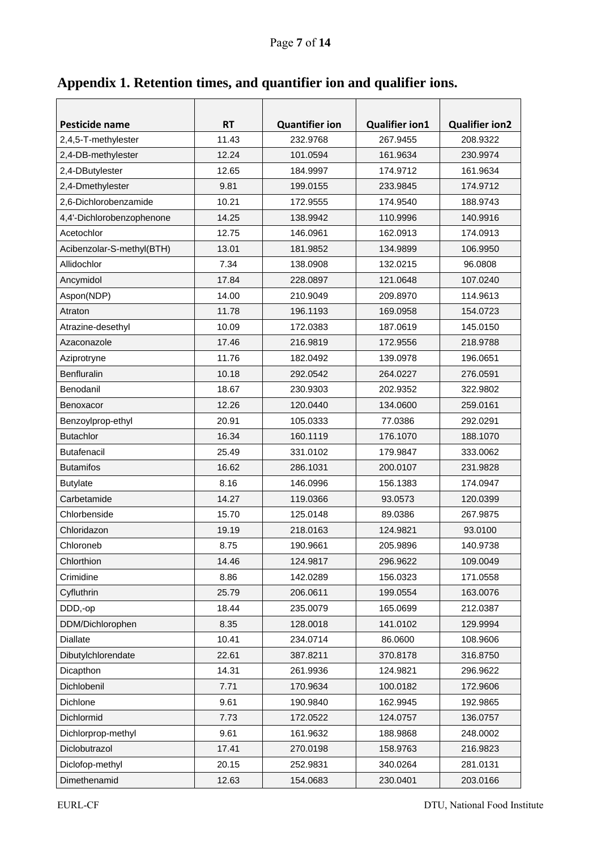| Appendix 1. Retention times, and quantifier ion and qualifier ions. |  |  |  |  |
|---------------------------------------------------------------------|--|--|--|--|
|                                                                     |  |  |  |  |

| Pesticide name            | <b>RT</b> | <b>Quantifier ion</b> | <b>Qualifier ion1</b> | <b>Qualifier ion2</b> |  |  |  |
|---------------------------|-----------|-----------------------|-----------------------|-----------------------|--|--|--|
| 2,4,5-T-methylester       | 11.43     | 232.9768              | 267.9455              | 208.9322              |  |  |  |
| 2,4-DB-methylester        | 12.24     | 101.0594              | 161.9634              | 230.9974              |  |  |  |
| 2,4-DButylester           | 12.65     | 184.9997              | 174.9712              | 161.9634              |  |  |  |
| 2,4-Dmethylester          | 9.81      | 199.0155              | 233.9845              | 174.9712              |  |  |  |
| 2,6-Dichlorobenzamide     | 10.21     | 172.9555              | 174.9540              | 188.9743              |  |  |  |
| 4,4'-Dichlorobenzophenone | 14.25     | 138.9942              | 110.9996              | 140.9916              |  |  |  |
| Acetochlor                | 12.75     | 146.0961              | 162.0913              | 174.0913              |  |  |  |
| Acibenzolar-S-methyl(BTH) | 13.01     | 181.9852              | 134.9899              | 106.9950              |  |  |  |
| Allidochlor               | 7.34      | 138.0908              | 132.0215              | 96.0808               |  |  |  |
| Ancymidol                 | 17.84     | 228.0897              | 121.0648              | 107.0240              |  |  |  |
| Aspon(NDP)                | 14.00     | 210.9049              | 209.8970              | 114.9613              |  |  |  |
| Atraton                   | 11.78     | 196.1193              | 169.0958              | 154.0723              |  |  |  |
| Atrazine-desethyl         | 10.09     | 172.0383              | 187.0619              | 145.0150              |  |  |  |
| Azaconazole               | 17.46     | 216.9819              | 172.9556              | 218.9788              |  |  |  |
| Aziprotryne               | 11.76     | 182.0492              | 139.0978              | 196.0651              |  |  |  |
| <b>Benfluralin</b>        | 10.18     | 292.0542              | 264.0227              | 276.0591              |  |  |  |
| Benodanil                 | 18.67     | 230.9303              | 202.9352              | 322.9802              |  |  |  |
| Benoxacor                 | 12.26     | 120.0440              | 134.0600              | 259.0161              |  |  |  |
| Benzoylprop-ethyl         | 20.91     | 105.0333              | 77.0386               | 292.0291              |  |  |  |
| <b>Butachlor</b>          | 16.34     | 160.1119              | 176.1070              | 188.1070              |  |  |  |
| <b>Butafenacil</b>        | 25.49     | 331.0102              | 179.9847              | 333.0062              |  |  |  |
| <b>Butamifos</b>          | 16.62     | 286.1031              | 200.0107              | 231.9828              |  |  |  |
| <b>Butylate</b>           | 8.16      | 146.0996              | 156.1383              | 174.0947              |  |  |  |
| Carbetamide               | 14.27     | 119.0366              | 93.0573               | 120.0399              |  |  |  |
| Chlorbenside              | 15.70     | 125.0148              | 89.0386               | 267.9875              |  |  |  |
| Chloridazon               | 19.19     | 218.0163              | 124.9821              | 93.0100               |  |  |  |
| Chloroneb                 | 8.75      | 190.9661              | 205.9896              | 140.9738              |  |  |  |
| Chlorthion                | 14.46     | 124.9817              | 296.9622              | 109.0049              |  |  |  |
| Crimidine                 | 8.86      | 142.0289              | 156.0323              | 171.0558              |  |  |  |
| Cyfluthrin                | 25.79     | 206.0611              | 199.0554              | 163.0076              |  |  |  |
| DDD,-op                   | 18.44     | 235.0079              | 165.0699              | 212.0387              |  |  |  |
| DDM/Dichlorophen          | 8.35      | 128.0018              | 141.0102              | 129.9994              |  |  |  |
| Diallate                  | 10.41     | 234.0714              | 86.0600               | 108.9606              |  |  |  |
| Dibutylchlorendate        | 22.61     | 387.8211              | 370.8178              | 316.8750              |  |  |  |
| Dicapthon                 | 14.31     | 261.9936              | 124.9821              | 296.9622              |  |  |  |
| Dichlobenil               | 7.71      | 170.9634              | 100.0182              | 172.9606              |  |  |  |
| Dichlone                  | 9.61      | 190.9840              | 162.9945              | 192.9865              |  |  |  |
| Dichlormid                | 7.73      | 172.0522              | 124.0757              | 136.0757              |  |  |  |
| Dichlorprop-methyl        | 9.61      | 161.9632              | 188.9868              | 248.0002              |  |  |  |
| Diclobutrazol             | 17.41     | 270.0198              | 158.9763              | 216.9823              |  |  |  |
| Diclofop-methyl           | 20.15     | 252.9831              | 340.0264              | 281.0131              |  |  |  |
| Dimethenamid              | 12.63     | 154.0683              | 230.0401              | 203.0166              |  |  |  |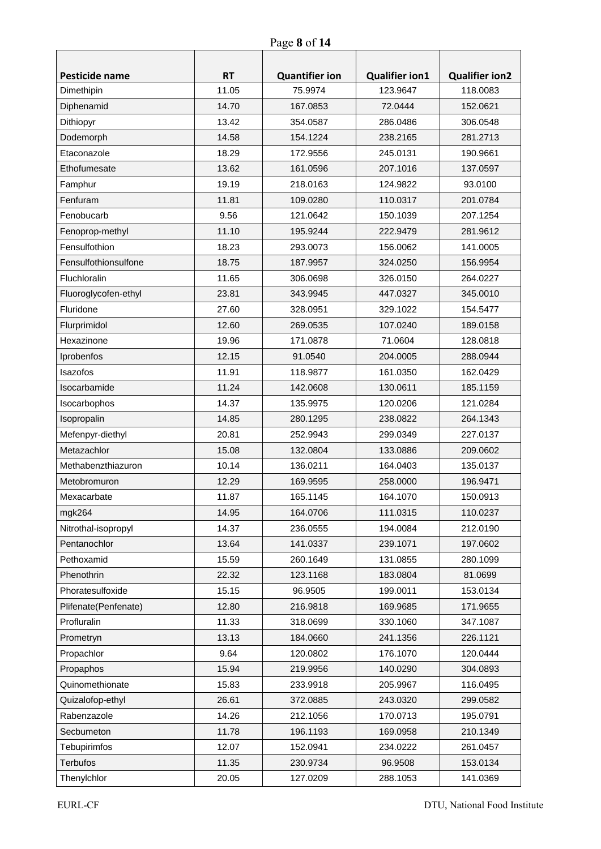| Pesticide name       | <b>RT</b> | <b>Quantifier ion</b> | <b>Qualifier ion1</b> | <b>Qualifier ion2</b> |  |  |  |
|----------------------|-----------|-----------------------|-----------------------|-----------------------|--|--|--|
| Dimethipin           | 11.05     | 75.9974               | 123.9647              | 118.0083              |  |  |  |
| Diphenamid           | 14.70     | 167.0853              | 72.0444               | 152.0621              |  |  |  |
| Dithiopyr            | 13.42     | 354.0587              | 286.0486              | 306.0548              |  |  |  |
| Dodemorph            | 14.58     | 154.1224              | 238.2165              | 281.2713              |  |  |  |
| Etaconazole          | 18.29     | 172.9556              | 245.0131              | 190.9661              |  |  |  |
| Ethofumesate         | 13.62     | 161.0596              | 207.1016              | 137.0597              |  |  |  |
| Famphur              | 19.19     | 218.0163              | 124.9822              | 93.0100               |  |  |  |
| Fenfuram             | 11.81     | 109.0280              | 110.0317              | 201.0784              |  |  |  |
| Fenobucarb           | 9.56      | 121.0642              | 150.1039              | 207.1254              |  |  |  |
| Fenoprop-methyl      | 11.10     | 195.9244              | 222.9479              | 281.9612              |  |  |  |
| Fensulfothion        | 18.23     | 293.0073              | 156.0062              | 141.0005              |  |  |  |
| Fensulfothionsulfone | 18.75     | 187.9957              | 324.0250              | 156.9954              |  |  |  |
| Fluchloralin         | 11.65     | 306.0698              | 326.0150              | 264.0227              |  |  |  |
| Fluoroglycofen-ethyl | 23.81     | 343.9945              | 447.0327              | 345.0010              |  |  |  |
| Fluridone            | 27.60     | 328.0951              | 329.1022              | 154.5477              |  |  |  |
| Flurprimidol         | 12.60     | 269.0535              | 107.0240              | 189.0158              |  |  |  |
| Hexazinone           | 19.96     | 171.0878              | 71.0604               | 128.0818              |  |  |  |
| Iprobenfos           | 12.15     | 91.0540               | 204.0005              | 288.0944              |  |  |  |
| Isazofos             | 11.91     | 118.9877              | 161.0350              | 162.0429              |  |  |  |
| Isocarbamide         | 11.24     | 142.0608              | 130.0611              | 185.1159              |  |  |  |
| Isocarbophos         | 14.37     | 135.9975              | 120.0206              | 121.0284              |  |  |  |
| Isopropalin          | 14.85     | 280.1295              | 238.0822              | 264.1343              |  |  |  |
| Mefenpyr-diethyl     | 20.81     | 252.9943              | 299.0349              | 227.0137              |  |  |  |
| Metazachlor          | 15.08     | 132.0804              | 133.0886              | 209.0602              |  |  |  |
| Methabenzthiazuron   | 10.14     | 136.0211              | 164.0403              | 135.0137              |  |  |  |
| Metobromuron         | 12.29     | 169.9595              | 258.0000              | 196.9471              |  |  |  |
| Mexacarbate          | 11.87     | 165.1145              | 164.1070              | 150.0913              |  |  |  |
| mgk264               | 14.95     | 164.0706              | 111.0315              | 110.0237              |  |  |  |
| Nitrothal-isopropyl  | 14.37     | 236.0555              | 194.0084              | 212.0190              |  |  |  |
| Pentanochlor         | 13.64     | 141.0337              | 239.1071              | 197.0602              |  |  |  |
| Pethoxamid           | 15.59     | 260.1649              | 131.0855              | 280.1099              |  |  |  |
| Phenothrin           | 22.32     | 123.1168              | 183.0804              | 81.0699               |  |  |  |
| Phoratesulfoxide     | 15.15     | 96.9505               | 199.0011              | 153.0134              |  |  |  |
| Plifenate(Penfenate) | 12.80     | 216.9818              | 169.9685              | 171.9655              |  |  |  |
| Profluralin          | 11.33     | 318.0699              | 330.1060              | 347.1087              |  |  |  |
| Prometryn            | 13.13     | 184.0660              | 241.1356              | 226.1121              |  |  |  |
| Propachlor           | 9.64      | 120.0802              | 176.1070              | 120.0444              |  |  |  |
| Propaphos            | 15.94     | 219.9956              | 140.0290              | 304.0893              |  |  |  |
| Quinomethionate      | 15.83     | 233.9918              | 205.9967              | 116.0495              |  |  |  |
| Quizalofop-ethyl     | 26.61     | 372.0885              | 243.0320              | 299.0582              |  |  |  |
| Rabenzazole          | 14.26     | 212.1056              | 170.0713              | 195.0791              |  |  |  |
| Secbumeton           | 11.78     | 196.1193              | 169.0958              | 210.1349              |  |  |  |
| Tebupirimfos         | 12.07     | 152.0941              | 234.0222              | 261.0457              |  |  |  |
| <b>Terbufos</b>      | 11.35     | 230.9734              | 96.9508               | 153.0134              |  |  |  |
| Thenylchlor          | 20.05     | 127.0209              | 288.1053              | 141.0369              |  |  |  |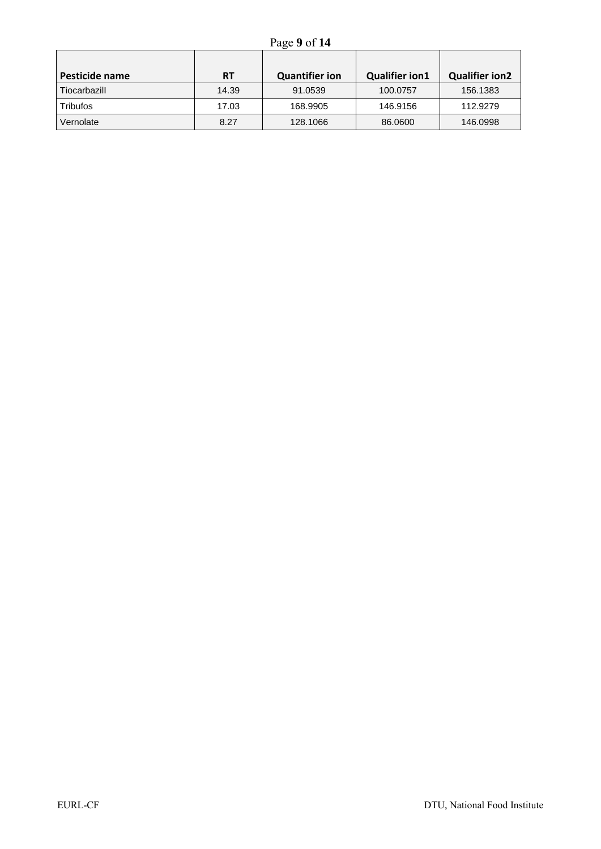| Pesticide name | <b>RT</b> | <b>Quantifier ion</b> | <b>Qualifier ion1</b> | <b>Qualifier ion2</b> |
|----------------|-----------|-----------------------|-----------------------|-----------------------|
| Tiocarbazill   | 14.39     | 91.0539               | 100.0757              | 156.1383              |
| Tribufos       | 17.03     | 168.9905              | 146.9156              | 112.9279              |
| Vernolate      | 8.27      | 128,1066              | 86,0600               | 146.0998              |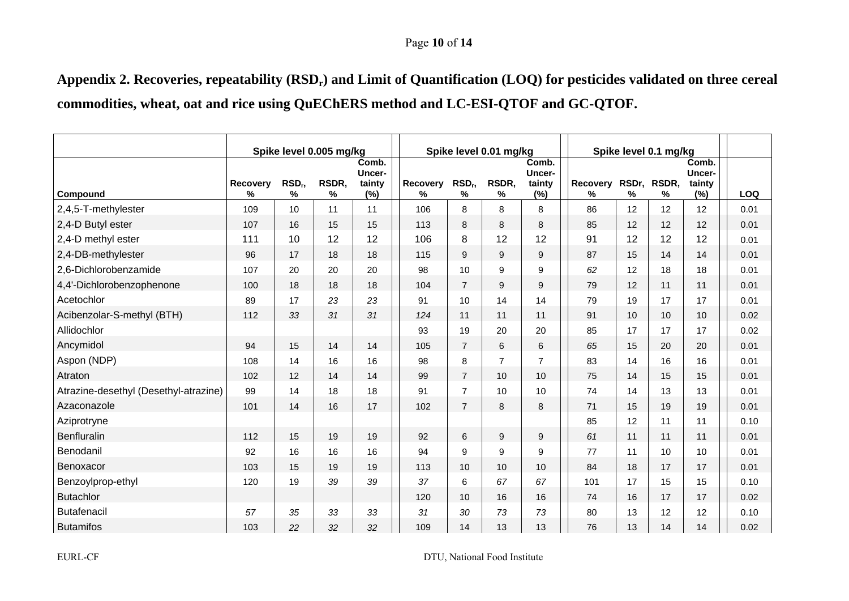#### Page **10** of **14**

Appendix 2. Recoveries, repeatability (RSD<sub>r</sub>) and Limit of Quantification (LOQ) for pesticides validated on three cereal **commodities, wheat, oat and rice using QuEChERS method and LC-ESI-QTOF and GC-QTOF.** 

|                                       | Spike level 0.005 mg/kg |                         |            |                                  |                      | Spike level 0.01 mg/kg  |                | Spike level 0.1 mg/kg                   |                      |            |            |                                  |      |
|---------------------------------------|-------------------------|-------------------------|------------|----------------------------------|----------------------|-------------------------|----------------|-----------------------------------------|----------------------|------------|------------|----------------------------------|------|
| Compound                              | Recovery<br>℅           | RSD <sub>r</sub> ,<br>% | RSDR,<br>% | Comb.<br>Uncer-<br>tainty<br>(%) | <b>Recovery</b><br>℅ | RSD <sub>r</sub> ,<br>% | RSDR.<br>℅     | Comb.<br><b>Uncer-</b><br>tainty<br>(%) | <b>Recovery</b><br>℅ | RSDr,<br>℅ | RSDR,<br>℅ | Comb.<br>Uncer-<br>tainty<br>(%) | LOQ  |
| 2,4,5-T-methylester                   | 109                     | 10                      | 11         | 11                               | 106                  | 8                       | 8              | 8                                       | 86                   | 12         | 12         | 12                               | 0.01 |
| 2,4-D Butyl ester                     | 107                     | 16                      | 15         | 15                               | 113                  | 8                       | 8              | 8                                       | 85                   | 12         | 12         | 12                               | 0.01 |
| 2,4-D methyl ester                    | 111                     | 10                      | 12         | 12                               | 106                  | 8                       | 12             | 12                                      | 91                   | 12         | 12         | 12                               | 0.01 |
| 2,4-DB-methylester                    | 96                      | 17                      | 18         | 18                               | 115                  | 9                       | 9              | 9                                       | 87                   | 15         | 14         | 14                               | 0.01 |
| 2,6-Dichlorobenzamide                 | 107                     | 20                      | 20         | 20                               | 98                   | 10                      | 9              | 9                                       | 62                   | 12         | 18         | 18                               | 0.01 |
| 4,4'-Dichlorobenzophenone             | 100                     | 18                      | 18         | 18                               | 104                  | $\overline{7}$          | 9              | 9                                       | 79                   | 12         | 11         | 11                               | 0.01 |
| Acetochlor                            | 89                      | 17                      | 23         | 23                               | 91                   | 10                      | 14             | 14                                      | 79                   | 19         | 17         | 17                               | 0.01 |
| Acibenzolar-S-methyl (BTH)            | 112                     | 33                      | 31         | 31                               | 124                  | 11                      | 11             | 11                                      | 91                   | 10         | 10         | 10                               | 0.02 |
| Allidochlor                           |                         |                         |            |                                  | 93                   | 19                      | 20             | 20                                      | 85                   | 17         | 17         | 17                               | 0.02 |
| Ancymidol                             | 94                      | 15                      | 14         | 14                               | 105                  | $\overline{7}$          | 6              | 6                                       | 65                   | 15         | 20         | 20                               | 0.01 |
| Aspon (NDP)                           | 108                     | 14                      | 16         | 16                               | 98                   | 8                       | $\overline{7}$ | $\overline{7}$                          | 83                   | 14         | 16         | 16                               | 0.01 |
| Atraton                               | 102                     | 12                      | 14         | 14                               | 99                   | $\overline{7}$          | 10             | 10                                      | 75                   | 14         | 15         | 15                               | 0.01 |
| Atrazine-desethyl (Desethyl-atrazine) | 99                      | 14                      | 18         | 18                               | 91                   | $\overline{7}$          | 10             | 10                                      | 74                   | 14         | 13         | 13                               | 0.01 |
| Azaconazole                           | 101                     | 14                      | 16         | 17                               | 102                  | $\overline{7}$          | 8              | 8                                       | 71                   | 15         | 19         | 19                               | 0.01 |
| Aziprotryne                           |                         |                         |            |                                  |                      |                         |                |                                         | 85                   | 12         | 11         | 11                               | 0.10 |
| Benfluralin                           | 112                     | 15                      | 19         | 19                               | 92                   | 6                       | 9              | 9                                       | 61                   | 11         | 11         | 11                               | 0.01 |
| Benodanil                             | 92                      | 16                      | 16         | 16                               | 94                   | 9                       | 9              | 9                                       | 77                   | 11         | 10         | 10                               | 0.01 |
| Benoxacor                             | 103                     | 15                      | 19         | 19                               | 113                  | 10                      | 10             | 10                                      | 84                   | 18         | 17         | 17                               | 0.01 |
| Benzoylprop-ethyl                     | 120                     | 19                      | 39         | 39                               | 37                   | 6                       | 67             | 67                                      | 101                  | 17         | 15         | 15                               | 0.10 |
| <b>Butachlor</b>                      |                         |                         |            |                                  | 120                  | 10                      | 16             | 16                                      | 74                   | 16         | 17         | 17                               | 0.02 |
| <b>Butafenacil</b>                    | 57                      | 35                      | 33         | 33                               | 31                   | 30                      | 73             | 73                                      | 80                   | 13         | 12         | 12                               | 0.10 |
| <b>Butamifos</b>                      | 103                     | 22                      | 32         | 32                               | 109                  | 14                      | 13             | 13                                      | 76                   | 13         | 14         | 14                               | 0.02 |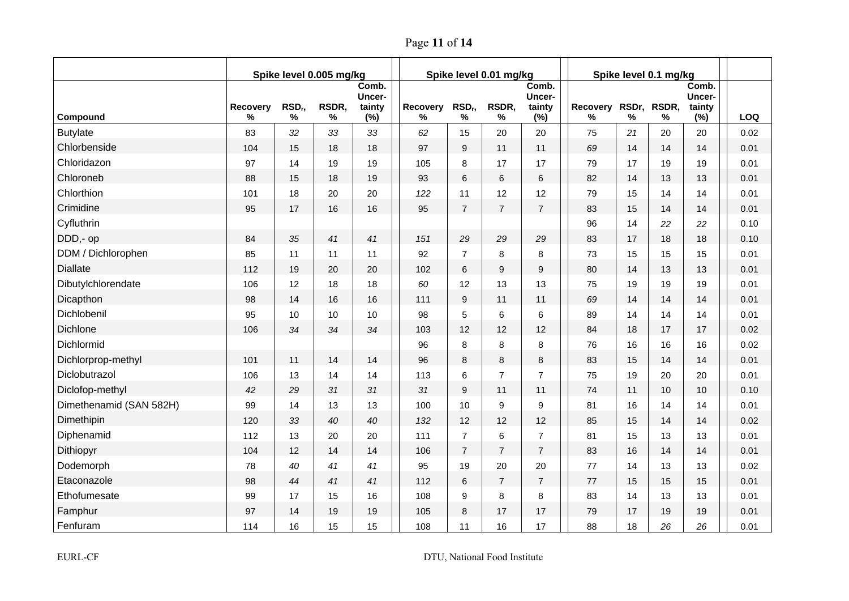Page **11** of **14**

|                         | Spike level 0.005 mg/kg |                       |            |                                  |               | Spike level 0.01 mg/kg |                | Spike level 0.1 mg/kg            |               |      |                  |                                  |            |
|-------------------------|-------------------------|-----------------------|------------|----------------------------------|---------------|------------------------|----------------|----------------------------------|---------------|------|------------------|----------------------------------|------------|
| Compound                | Recovery<br>%           | RSD <sub>r</sub><br>% | RSDR,<br>% | Comb.<br>Uncer-<br>tainty<br>(%) | Recovery<br>% | $RSD_r$<br>%           | RSDR,<br>$\%$  | Comb.<br>Uncer-<br>tainty<br>(%) | Recovery<br>℅ | $\%$ | RSDr, RSDR,<br>% | Comb.<br>Uncer-<br>tainty<br>(%) | <b>LOQ</b> |
| <b>Butylate</b>         | 83                      | 32                    | 33         | 33                               | 62            | 15                     | 20             | 20                               | 75            | 21   | 20               | 20                               | 0.02       |
| Chlorbenside            | 104                     | 15                    | 18         | 18                               | 97            | $\boldsymbol{9}$       | 11             | 11                               | 69            | 14   | 14               | 14                               | 0.01       |
| Chloridazon             | 97                      | 14                    | 19         | 19                               | 105           | 8                      | 17             | 17                               | 79            | 17   | 19               | 19                               | 0.01       |
| Chloroneb               | 88                      | 15                    | 18         | 19                               | 93            | 6                      | 6              | 6                                | 82            | 14   | 13               | 13                               | 0.01       |
| Chlorthion              | 101                     | 18                    | 20         | 20                               | 122           | 11                     | 12             | 12                               | 79            | 15   | 14               | 14                               | 0.01       |
| Crimidine               | 95                      | 17                    | 16         | 16                               | 95            | $\overline{7}$         | $\overline{7}$ | $\overline{7}$                   | 83            | 15   | 14               | 14                               | 0.01       |
| Cyfluthrin              |                         |                       |            |                                  |               |                        |                |                                  | 96            | 14   | 22               | 22                               | 0.10       |
| DDD,- op                | 84                      | 35                    | 41         | 41                               | 151           | 29                     | 29             | 29                               | 83            | 17   | 18               | 18                               | 0.10       |
| DDM / Dichlorophen      | 85                      | 11                    | 11         | 11                               | 92            | $\overline{7}$         | 8              | 8                                | 73            | 15   | 15               | 15                               | 0.01       |
| <b>Diallate</b>         | 112                     | 19                    | 20         | 20                               | 102           | 6                      | 9              | 9                                | 80            | 14   | 13               | 13                               | 0.01       |
| Dibutylchlorendate      | 106                     | 12                    | 18         | 18                               | 60            | 12                     | 13             | 13                               | 75            | 19   | 19               | 19                               | 0.01       |
| Dicapthon               | 98                      | 14                    | 16         | 16                               | 111           | 9                      | 11             | 11                               | 69            | 14   | 14               | 14                               | 0.01       |
| Dichlobenil             | 95                      | 10                    | 10         | 10                               | 98            | 5                      | 6              | 6                                | 89            | 14   | 14               | 14                               | 0.01       |
| <b>Dichlone</b>         | 106                     | 34                    | 34         | 34                               | 103           | 12                     | 12             | 12                               | 84            | 18   | 17               | 17                               | 0.02       |
| Dichlormid              |                         |                       |            |                                  | 96            | 8                      | 8              | 8                                | 76            | 16   | 16               | 16                               | 0.02       |
| Dichlorprop-methyl      | 101                     | 11                    | 14         | 14                               | 96            | 8                      | 8              | 8                                | 83            | 15   | 14               | 14                               | 0.01       |
| Diclobutrazol           | 106                     | 13                    | 14         | 14                               | 113           | 6                      | $\overline{7}$ | $\overline{7}$                   | 75            | 19   | 20               | 20                               | 0.01       |
| Diclofop-methyl         | 42                      | 29                    | 31         | 31                               | 31            | 9                      | 11             | 11                               | 74            | 11   | 10               | 10                               | 0.10       |
| Dimethenamid (SAN 582H) | 99                      | 14                    | 13         | 13                               | 100           | 10                     | 9              | 9                                | 81            | 16   | 14               | 14                               | 0.01       |
| Dimethipin              | 120                     | 33                    | 40         | 40                               | 132           | 12                     | 12             | 12                               | 85            | 15   | 14               | 14                               | 0.02       |
| Diphenamid              | 112                     | 13                    | 20         | 20                               | 111           | $\overline{7}$         | $\,6\,$        | $\overline{7}$                   | 81            | 15   | 13               | 13                               | 0.01       |
| Dithiopyr               | 104                     | 12                    | 14         | 14                               | 106           | $\overline{7}$         | $\overline{7}$ | $\overline{7}$                   | 83            | 16   | 14               | 14                               | 0.01       |
| Dodemorph               | 78                      | 40                    | 41         | 41                               | 95            | 19                     | 20             | 20                               | 77            | 14   | 13               | 13                               | 0.02       |
| Etaconazole             | 98                      | 44                    | 41         | 41                               | 112           | 6                      | $\overline{7}$ | $\overline{7}$                   | 77            | 15   | 15               | 15                               | 0.01       |
| Ethofumesate            | 99                      | 17                    | 15         | 16                               | 108           | 9                      | 8              | 8                                | 83            | 14   | 13               | 13                               | 0.01       |
| Famphur                 | 97                      | 14                    | 19         | 19                               | 105           | 8                      | 17             | 17                               | 79            | 17   | 19               | 19                               | 0.01       |
| Fenfuram                | 114                     | 16                    | 15         | 15                               | 108           | 11                     | 16             | 17                               | 88            | 18   | 26               | 26                               | 0.01       |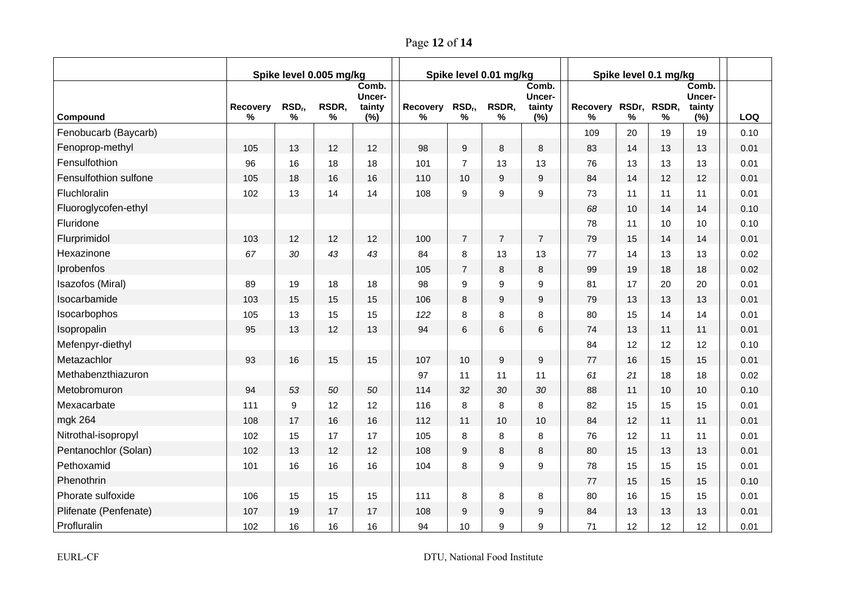Page **12** of **14**

|                       | Spike level 0.005 mg/kg |                       |            |                                  | Spike level 0.01 mg/kg |                  |                  |                                  | Spike level 0.1 mg/kg |      |                  |                                  |            |
|-----------------------|-------------------------|-----------------------|------------|----------------------------------|------------------------|------------------|------------------|----------------------------------|-----------------------|------|------------------|----------------------------------|------------|
| Compound              | Recovery<br>$\%$        | RSD <sub>r</sub><br>% | RSDR,<br>% | Comb.<br>Uncer-<br>tainty<br>(%) | Recovery<br>℅          | $RSD_r$<br>%     | RSDR,<br>%       | Comb.<br>Uncer-<br>tainty<br>(%) | Recovery<br>℅         | $\%$ | RSDr, RSDR,<br>% | Comb.<br>Uncer-<br>tainty<br>(%) | <b>LOQ</b> |
| Fenobucarb (Baycarb)  |                         |                       |            |                                  |                        |                  |                  |                                  | 109                   | 20   | 19               | 19                               | 0.10       |
| Fenoprop-methyl       | 105                     | 13                    | 12         | 12                               | 98                     | $\boldsymbol{9}$ | $\bf 8$          | 8                                | 83                    | 14   | 13               | 13                               | 0.01       |
| Fensulfothion         | 96                      | 16                    | 18         | 18                               | 101                    | $\overline{7}$   | 13               | 13                               | 76                    | 13   | 13               | 13                               | 0.01       |
| Fensulfothion sulfone | 105                     | 18                    | 16         | 16                               | 110                    | 10               | 9                | 9                                | 84                    | 14   | 12               | 12                               | 0.01       |
| Fluchloralin          | 102                     | 13                    | 14         | 14                               | 108                    | 9                | $\boldsymbol{9}$ | 9                                | 73                    | 11   | 11               | 11                               | 0.01       |
| Fluoroglycofen-ethyl  |                         |                       |            |                                  |                        |                  |                  |                                  | 68                    | 10   | 14               | 14                               | 0.10       |
| Fluridone             |                         |                       |            |                                  |                        |                  |                  |                                  | 78                    | 11   | 10               | 10                               | 0.10       |
| Flurprimidol          | 103                     | 12                    | 12         | 12                               | 100                    | $\overline{7}$   | $\overline{7}$   | $\overline{7}$                   | 79                    | 15   | 14               | 14                               | 0.01       |
| Hexazinone            | 67                      | 30                    | 43         | 43                               | 84                     | 8                | 13               | 13                               | 77                    | 14   | 13               | 13                               | 0.02       |
| Iprobenfos            |                         |                       |            |                                  | 105                    | $\overline{7}$   | 8                | 8                                | 99                    | 19   | 18               | 18                               | 0.02       |
| Isazofos (Miral)      | 89                      | 19                    | 18         | 18                               | 98                     | 9                | 9                | 9                                | 81                    | 17   | 20               | 20                               | 0.01       |
| Isocarbamide          | 103                     | 15                    | 15         | 15                               | 106                    | 8                | $\boldsymbol{9}$ | $\mathsf g$                      | 79                    | 13   | 13               | 13                               | 0.01       |
| Isocarbophos          | 105                     | 13                    | 15         | 15                               | 122                    | 8                | 8                | 8                                | 80                    | 15   | 14               | 14                               | 0.01       |
| Isopropalin           | 95                      | 13                    | 12         | 13                               | 94                     | 6                | $6\phantom{1}$   | 6                                | 74                    | 13   | 11               | 11                               | 0.01       |
| Mefenpyr-diethyl      |                         |                       |            |                                  |                        |                  |                  |                                  | 84                    | 12   | 12               | 12                               | 0.10       |
| Metazachlor           | 93                      | 16                    | 15         | 15                               | 107                    | 10               | $\overline{9}$   | 9                                | 77                    | 16   | 15               | 15                               | 0.01       |
| Methabenzthiazuron    |                         |                       |            |                                  | 97                     | 11               | 11               | 11                               | 61                    | 21   | 18               | 18                               | 0.02       |
| Metobromuron          | 94                      | 53                    | 50         | 50                               | 114                    | 32               | 30               | 30                               | 88                    | 11   | 10               | 10                               | 0.10       |
| Mexacarbate           | 111                     | 9                     | 12         | 12                               | 116                    | 8                | 8                | 8                                | 82                    | 15   | 15               | 15                               | 0.01       |
| mgk 264               | 108                     | 17                    | 16         | 16                               | 112                    | 11               | 10               | 10                               | 84                    | 12   | 11               | 11                               | 0.01       |
| Nitrothal-isopropyl   | 102                     | 15                    | 17         | 17                               | 105                    | 8                | 8                | 8                                | 76                    | 12   | 11               | 11                               | 0.01       |
| Pentanochlor (Solan)  | 102                     | 13                    | 12         | 12                               | 108                    | 9                | 8                | 8                                | 80                    | 15   | 13               | 13                               | 0.01       |
| Pethoxamid            | 101                     | 16                    | 16         | 16                               | 104                    | 8                | 9                | 9                                | 78                    | 15   | 15               | 15                               | 0.01       |
| Phenothrin            |                         |                       |            |                                  |                        |                  |                  |                                  | 77                    | 15   | 15               | 15                               | 0.10       |
| Phorate sulfoxide     | 106                     | 15                    | 15         | 15                               | 111                    | 8                | 8                | 8                                | 80                    | 16   | 15               | 15                               | 0.01       |
| Plifenate (Penfenate) | 107                     | 19                    | 17         | 17                               | 108                    | 9                | 9                | 9                                | 84                    | 13   | 13               | 13                               | 0.01       |
| Profluralin           | 102                     | 16                    | 16         | 16                               | 94                     | 10               | 9                | 9                                | 71                    | 12   | 12               | 12                               | 0.01       |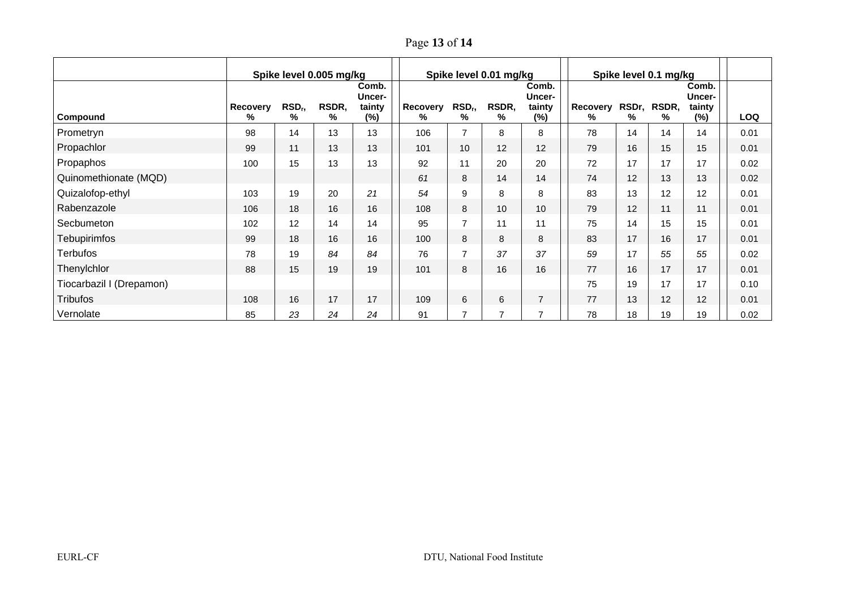Page **13** of **14**

|                          | Spike level 0.005 mg/kg |                         |            |                                  | Spike level 0.01 mg/kg |                         |                |                                     | Spike level 0.1 mg/kg |    |                  |                                     |            |
|--------------------------|-------------------------|-------------------------|------------|----------------------------------|------------------------|-------------------------|----------------|-------------------------------------|-----------------------|----|------------------|-------------------------------------|------------|
| Compound                 | Recovery<br>%           | RSD <sub>r</sub> ,<br>℅ | RSDR,<br>% | Comb.<br>Uncer-<br>tainty<br>(%) | Recovery<br>%          | RSD <sub>r</sub> ,<br>% | RSDR,<br>℅     | Comb.<br>Uncer-<br>tainty<br>$(\%)$ | Recovery<br>℅         | %  | RSDr, RSDR,<br>% | Comb.<br>Uncer-<br>tainty<br>$(\%)$ | <b>LOQ</b> |
| Prometryn                | 98                      | 14                      | 13         | 13                               | 106                    | $\overline{7}$          | 8              | 8                                   | 78                    | 14 | 14               | 14                                  | 0.01       |
| Propachlor               | 99                      | 11                      | 13         | 13                               | 101                    | 10                      | 12             | 12                                  | 79                    | 16 | 15               | 15                                  | 0.01       |
| Propaphos                | 100                     | 15                      | 13         | 13                               | 92                     | 11                      | 20             | 20                                  | 72                    | 17 | 17               | 17                                  | 0.02       |
| Quinomethionate (MQD)    |                         |                         |            |                                  | 61                     | 8                       | 14             | 14                                  | 74                    | 12 | 13               | 13                                  | 0.02       |
| Quizalofop-ethyl         | 103                     | 19                      | 20         | 21                               | 54                     | 9                       | 8              | 8                                   | 83                    | 13 | 12               | 12                                  | 0.01       |
| Rabenzazole              | 106                     | 18                      | 16         | 16                               | 108                    | 8                       | 10             | 10                                  | 79                    | 12 | 11               | 11                                  | 0.01       |
| Secbumeton               | 102                     | 12                      | 14         | 14                               | 95                     | $\overline{7}$          | 11             | 11                                  | 75                    | 14 | 15               | 15                                  | 0.01       |
| <b>Tebupirimfos</b>      | 99                      | 18                      | 16         | 16                               | 100                    | 8                       | 8              | 8                                   | 83                    | 17 | 16               | 17                                  | 0.01       |
| <b>Terbufos</b>          | 78                      | 19                      | 84         | 84                               | 76                     | $\overline{7}$          | 37             | 37                                  | 59                    | 17 | 55               | 55                                  | 0.02       |
| Thenylchlor              | 88                      | 15                      | 19         | 19                               | 101                    | 8                       | 16             | 16                                  | 77                    | 16 | 17               | 17                                  | 0.01       |
| Tiocarbazil I (Drepamon) |                         |                         |            |                                  |                        |                         |                |                                     | 75                    | 19 | 17               | 17                                  | 0.10       |
| <b>Tribufos</b>          | 108                     | 16                      | 17         | 17                               | 109                    | 6                       | 6              | $\overline{7}$                      | 77                    | 13 | 12               | 12                                  | 0.01       |
| Vernolate                | 85                      | 23                      | 24         | 24                               | 91                     | $\overline{ }$          | $\overline{7}$ | $\overline{7}$                      | 78                    | 18 | 19               | 19                                  | 0.02       |